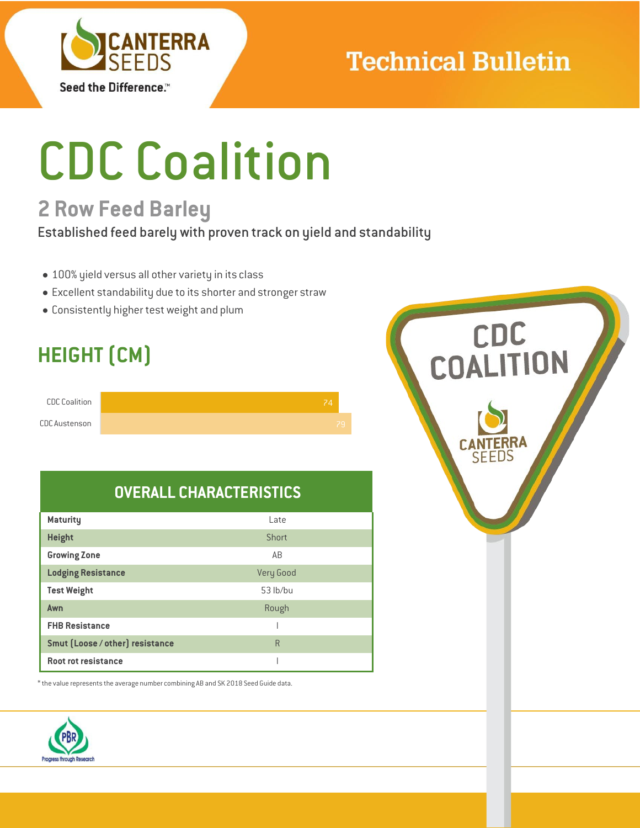

# **Technical Bulletin**

# CDC Coalition

## **2 Row Feed Barley**

Established feed barely with proven track on yield and standability

- 100% yield versus all other variety in its class
- Excellent standability due to its shorter and stronger straw
- Consistently higher test weight and plum

## **HEIGHT (CM)**

| <b>CDC Coalition</b> |  |
|----------------------|--|
| <b>CDC</b> Austenson |  |

## **OVERALL CHARACTERISTICS**

| <b>Maturity</b>                 | Late      |
|---------------------------------|-----------|
| <b>Height</b>                   | Short     |
| <b>Growing Zone</b>             | AB        |
| <b>Lodging Resistance</b>       | Very Good |
| <b>Test Weight</b>              | 53 lb/bu  |
| Awn                             | Rough     |
| <b>FHB Resistance</b>           |           |
| Smut (Loose / other) resistance | R         |
| Root rot resistance             |           |

 $^{\ast}$  the value represents the average number combining AB and SK 2018 Seed Guide data.